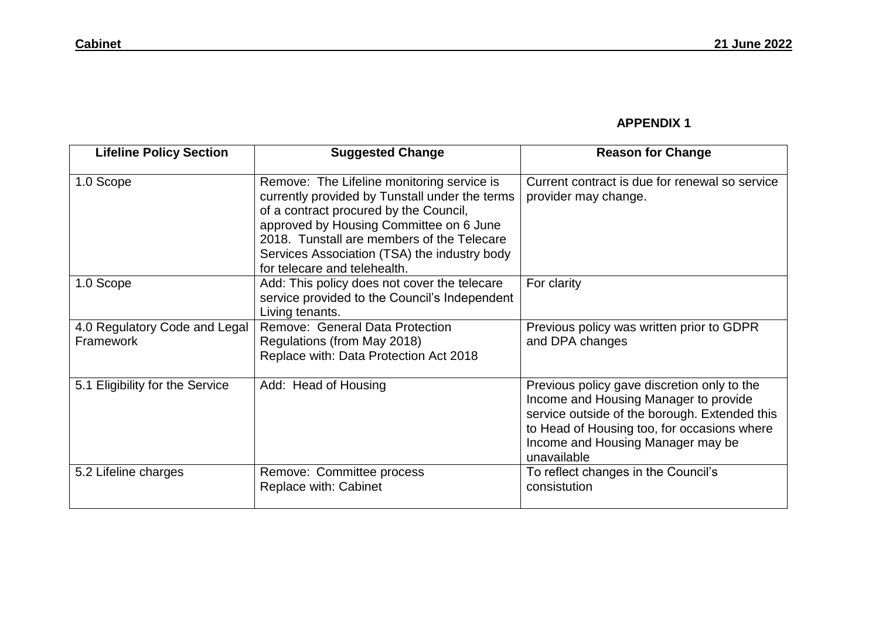## **APPENDIX 1**

| <b>Lifeline Policy Section</b>             | <b>Suggested Change</b>                                                                                                                                                                                                                                                                                         | <b>Reason for Change</b>                                                                                                                                                                                                                 |
|--------------------------------------------|-----------------------------------------------------------------------------------------------------------------------------------------------------------------------------------------------------------------------------------------------------------------------------------------------------------------|------------------------------------------------------------------------------------------------------------------------------------------------------------------------------------------------------------------------------------------|
| 1.0 Scope                                  | Remove: The Lifeline monitoring service is<br>currently provided by Tunstall under the terms<br>of a contract procured by the Council,<br>approved by Housing Committee on 6 June<br>2018. Tunstall are members of the Telecare<br>Services Association (TSA) the industry body<br>for telecare and telehealth. | Current contract is due for renewal so service<br>provider may change.                                                                                                                                                                   |
| 1.0 Scope                                  | Add: This policy does not cover the telecare<br>service provided to the Council's Independent<br>Living tenants.                                                                                                                                                                                                | For clarity                                                                                                                                                                                                                              |
| 4.0 Regulatory Code and Legal<br>Framework | Remove: General Data Protection<br>Regulations (from May 2018)<br>Replace with: Data Protection Act 2018                                                                                                                                                                                                        | Previous policy was written prior to GDPR<br>and DPA changes                                                                                                                                                                             |
| 5.1 Eligibility for the Service            | Add: Head of Housing                                                                                                                                                                                                                                                                                            | Previous policy gave discretion only to the<br>Income and Housing Manager to provide<br>service outside of the borough. Extended this<br>to Head of Housing too, for occasions where<br>Income and Housing Manager may be<br>unavailable |
| 5.2 Lifeline charges                       | Remove: Committee process<br><b>Replace with: Cabinet</b>                                                                                                                                                                                                                                                       | To reflect changes in the Council's<br>consistution                                                                                                                                                                                      |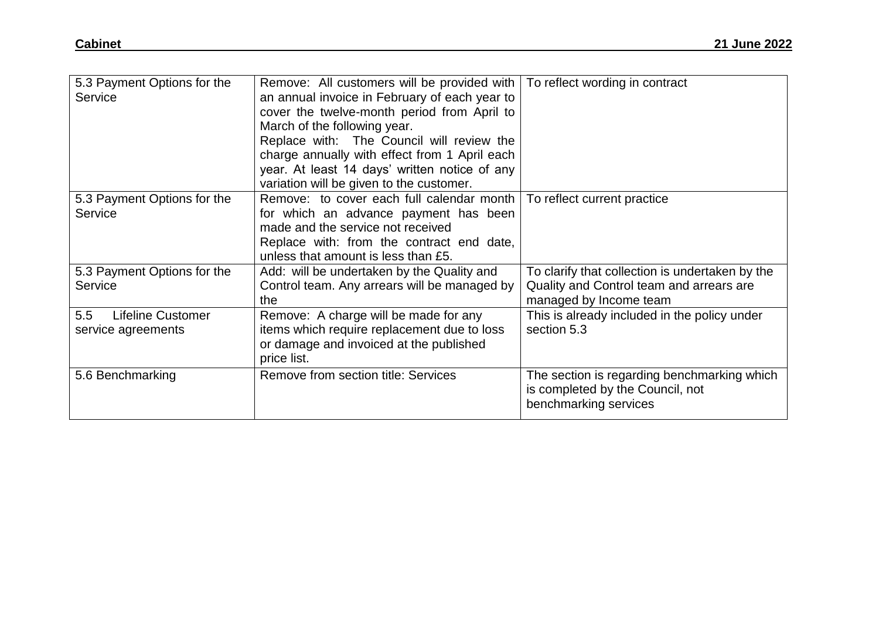| 5.3 Payment Options for the<br>Service                | Remove: All customers will be provided with<br>an annual invoice in February of each year to<br>cover the twelve-month period from April to<br>March of the following year.<br>Replace with: The Council will review the<br>charge annually with effect from 1 April each<br>year. At least 14 days' written notice of any<br>variation will be given to the customer. | To reflect wording in contract                                                                                        |
|-------------------------------------------------------|------------------------------------------------------------------------------------------------------------------------------------------------------------------------------------------------------------------------------------------------------------------------------------------------------------------------------------------------------------------------|-----------------------------------------------------------------------------------------------------------------------|
| 5.3 Payment Options for the<br>Service                | Remove: to cover each full calendar month<br>for which an advance payment has been<br>made and the service not received<br>Replace with: from the contract end date,<br>unless that amount is less than £5.                                                                                                                                                            | To reflect current practice                                                                                           |
| 5.3 Payment Options for the<br>Service                | Add: will be undertaken by the Quality and<br>Control team. Any arrears will be managed by<br>the                                                                                                                                                                                                                                                                      | To clarify that collection is undertaken by the<br>Quality and Control team and arrears are<br>managed by Income team |
| <b>Lifeline Customer</b><br>5.5<br>service agreements | Remove: A charge will be made for any<br>items which require replacement due to loss<br>or damage and invoiced at the published<br>price list.                                                                                                                                                                                                                         | This is already included in the policy under<br>section 5.3                                                           |
| 5.6 Benchmarking                                      | <b>Remove from section title: Services</b>                                                                                                                                                                                                                                                                                                                             | The section is regarding benchmarking which<br>is completed by the Council, not<br>benchmarking services              |